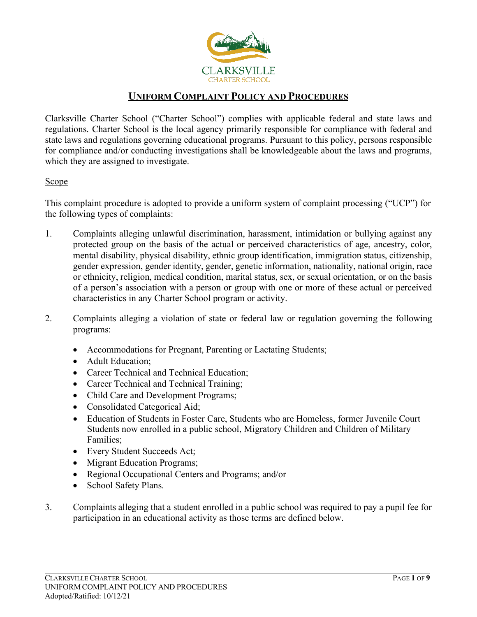

# **UNIFORM COMPLAINT POLICY AND PROCEDURES**

Clarksville Charter School ("Charter School") complies with applicable federal and state laws and regulations. Charter School is the local agency primarily responsible for compliance with federal and state laws and regulations governing educational programs. Pursuant to this policy, persons responsible for compliance and/or conducting investigations shall be knowledgeable about the laws and programs, which they are assigned to investigate.

#### **Scope**

This complaint procedure is adopted to provide a uniform system of complaint processing ("UCP") for the following types of complaints:

- 1. Complaints alleging unlawful discrimination, harassment, intimidation or bullying against any protected group on the basis of the actual or perceived characteristics of age, ancestry, color, mental disability, physical disability, ethnic group identification, immigration status, citizenship, gender expression, gender identity, gender, genetic information, nationality, national origin, race or ethnicity, religion, medical condition, marital status, sex, or sexual orientation, or on the basis of a person's association with a person or group with one or more of these actual or perceived characteristics in any Charter School program or activity.
- 2. Complaints alleging a violation of state or federal law or regulation governing the following programs:
	- Accommodations for Pregnant, Parenting or Lactating Students;
	- Adult Education:
	- Career Technical and Technical Education;
	- Career Technical and Technical Training;
	- Child Care and Development Programs;
	- Consolidated Categorical Aid;
	- Education of Students in Foster Care, Students who are Homeless, former Juvenile Court Students now enrolled in a public school, Migratory Children and Children of Military Families;
	- Every Student Succeeds Act;
	- Migrant Education Programs;
	- Regional Occupational Centers and Programs; and/or
	- School Safety Plans.
- 3. Complaints alleging that a student enrolled in a public school was required to pay a pupil fee for participation in an educational activity as those terms are defined below.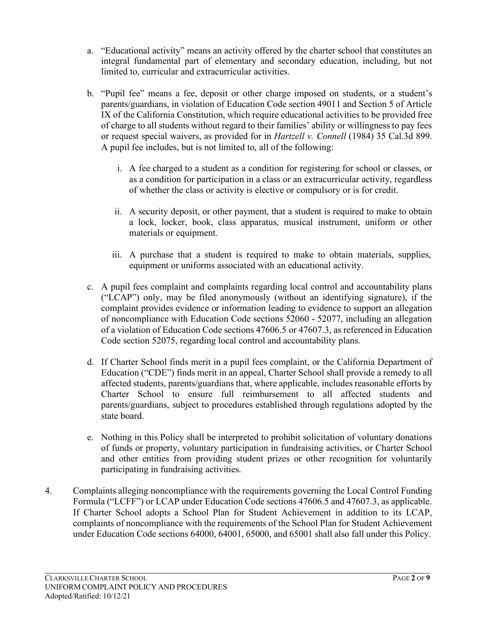- a. "Educational activity" means an activity offered by the charter school that constitutes an integral fundamental part of elementary and secondary education, including, but not limited to, curricular and extracurricular activities.
- b. "Pupil fee" means a fee, deposit or other charge imposed on students, or a student's parents/guardians, in violation of Education Code section 49011 and Section 5 of Article IX of the California Constitution, which require educational activities to be provided free of charge to all students without regard to their families' ability or willingness to pay fees or request special waivers, as provided for in *Hartzell v. Connell* (1984) 35 Cal.3d 899. A pupil fee includes, but is not limited to, all of the following:
	- i. A fee charged to a student as a condition for registering for school or classes, or as a condition for participation in a class or an extracurricular activity, regardless of whether the class or activity is elective or compulsory or is for credit.
	- ii. A security deposit, or other payment, that a student is required to make to obtain a lock, locker, book, class apparatus, musical instrument, uniform or other materials or equipment.
	- iii. A purchase that a student is required to make to obtain materials, supplies, equipment or uniforms associated with an educational activity.
- c. A pupil fees complaint and complaints regarding local control and accountability plans ("LCAP") only, may be filed anonymously (without an identifying signature), if the complaint provides evidence or information leading to evidence to support an allegation of noncompliance with Education Code sections 52060 - 52077, including an allegation of a violation of Education Code sections 47606.5 or 47607.3, as referenced in Education Code section 52075, regarding local control and accountability plans.
- d. If Charter School finds merit in a pupil fees complaint, or the California Department of Education ("CDE") finds merit in an appeal, Charter School shall provide a remedy to all affected students, parents/guardians that, where applicable, includes reasonable efforts by Charter School to ensure full reimbursement to all affected students and parents/guardians, subject to procedures established through regulations adopted by the state board.
- e. Nothing in this Policy shall be interpreted to prohibit solicitation of voluntary donations of funds or property, voluntary participation in fundraising activities, or Charter School and other entities from providing student prizes or other recognition for voluntarily participating in fundraising activities.
- 4. Complaints alleging noncompliance with the requirements governing the Local Control Funding Formula ("LCFF") or LCAP under Education Code sections 47606.5 and 47607.3, as applicable. If Charter School adopts a School Plan for Student Achievement in addition to its LCAP, complaints of noncompliance with the requirements of the School Plan for Student Achievement under Education Code sections 64000, 64001, 65000, and 65001 shall also fall under this Policy.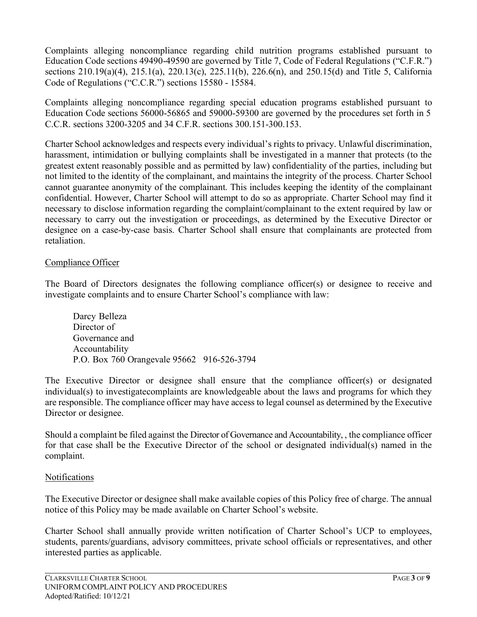Complaints alleging noncompliance regarding child nutrition programs established pursuant to Education Code sections 49490-49590 are governed by Title 7, Code of Federal Regulations ("C.F.R.") sections 210.19(a)(4), 215.1(a), 220.13(c), 225.11(b), 226.6(n), and 250.15(d) and Title 5, California Code of Regulations ("C.C.R.") sections 15580 - 15584.

Complaints alleging noncompliance regarding special education programs established pursuant to Education Code sections 56000-56865 and 59000-59300 are governed by the procedures set forth in 5 C.C.R. sections 3200-3205 and 34 C.F.R. sections 300.151-300.153.

Charter School acknowledges and respects every individual's rights to privacy. Unlawful discrimination, harassment, intimidation or bullying complaints shall be investigated in a manner that protects (to the greatest extent reasonably possible and as permitted by law) confidentiality of the parties, including but not limited to the identity of the complainant, and maintains the integrity of the process. Charter School cannot guarantee anonymity of the complainant. This includes keeping the identity of the complainant confidential. However, Charter School will attempt to do so as appropriate. Charter School may find it necessary to disclose information regarding the complaint/complainant to the extent required by law or necessary to carry out the investigation or proceedings, as determined by the Executive Director or designee on a case-by-case basis. Charter School shall ensure that complainants are protected from retaliation.

#### Compliance Officer

The Board of Directors designates the following compliance officer(s) or designee to receive and investigate complaints and to ensure Charter School's compliance with law:

Darcy Belleza Director of Governance and Accountability P.O. Box 760 Orangevale 95662 916-526-3794

The Executive Director or designee shall ensure that the compliance officer(s) or designated individual(s) to investigatecomplaints are knowledgeable about the laws and programs for which they are responsible. The compliance officer may have access to legal counsel as determined by the Executive Director or designee.

Should a complaint be filed against the Director of Governance and Accountability, , the compliance officer for that case shall be the Executive Director of the school or designated individual(s) named in the complaint.

#### Notifications

The Executive Director or designee shall make available copies of this Policy free of charge. The annual notice of this Policy may be made available on Charter School's website.

Charter School shall annually provide written notification of Charter School's UCP to employees, students, parents/guardians, advisory committees, private school officials or representatives, and other interested parties as applicable.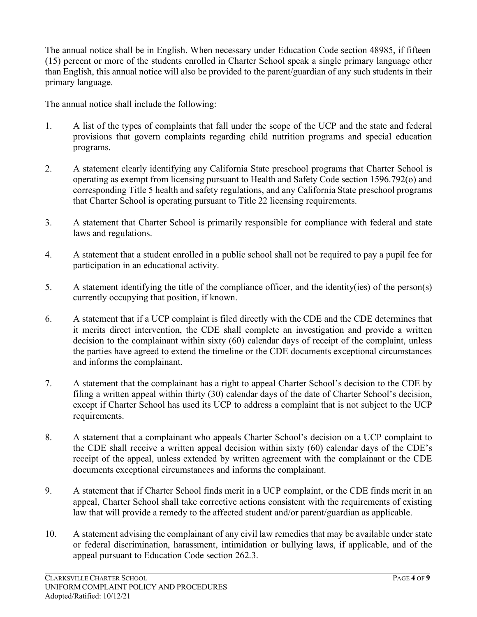The annual notice shall be in English. When necessary under Education Code section 48985, if fifteen (15) percent or more of the students enrolled in Charter School speak a single primary language other than English, this annual notice will also be provided to the parent/guardian of any such students in their primary language.

The annual notice shall include the following:

- 1. A list of the types of complaints that fall under the scope of the UCP and the state and federal provisions that govern complaints regarding child nutrition programs and special education programs.
- 2. A statement clearly identifying any California State preschool programs that Charter School is operating as exempt from licensing pursuant to Health and Safety Code section 1596.792(o) and corresponding Title 5 health and safety regulations, and any California State preschool programs that Charter School is operating pursuant to Title 22 licensing requirements.
- 3. A statement that Charter School is primarily responsible for compliance with federal and state laws and regulations.
- 4. A statement that a student enrolled in a public school shall not be required to pay a pupil fee for participation in an educational activity.
- 5. A statement identifying the title of the compliance officer, and the identity(ies) of the person(s) currently occupying that position, if known.
- 6. A statement that if a UCP complaint is filed directly with the CDE and the CDE determines that it merits direct intervention, the CDE shall complete an investigation and provide a written decision to the complainant within sixty (60) calendar days of receipt of the complaint, unless the parties have agreed to extend the timeline or the CDE documents exceptional circumstances and informs the complainant.
- 7. A statement that the complainant has a right to appeal Charter School's decision to the CDE by filing a written appeal within thirty (30) calendar days of the date of Charter School's decision, except if Charter School has used its UCP to address a complaint that is not subject to the UCP requirements.
- 8. A statement that a complainant who appeals Charter School's decision on a UCP complaint to the CDE shall receive a written appeal decision within sixty (60) calendar days of the CDE's receipt of the appeal, unless extended by written agreement with the complainant or the CDE documents exceptional circumstances and informs the complainant.
- 9. A statement that if Charter School finds merit in a UCP complaint, or the CDE finds merit in an appeal, Charter School shall take corrective actions consistent with the requirements of existing law that will provide a remedy to the affected student and/or parent/guardian as applicable.
- 10. A statement advising the complainant of any civil law remedies that may be available under state or federal discrimination, harassment, intimidation or bullying laws, if applicable, and of the appeal pursuant to Education Code section 262.3.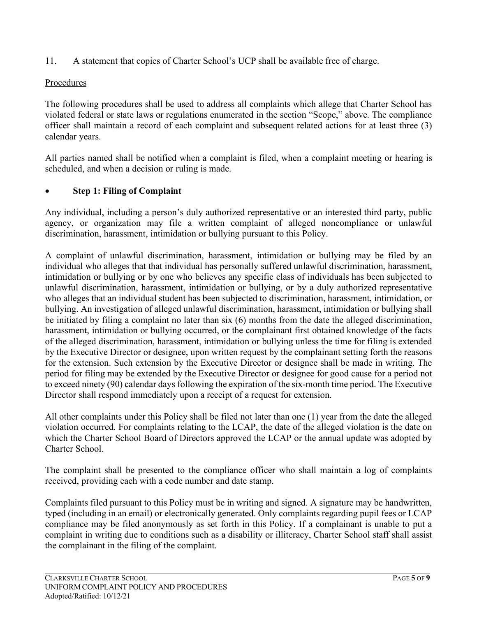11. A statement that copies of Charter School's UCP shall be available free of charge.

## Procedures

The following procedures shall be used to address all complaints which allege that Charter School has violated federal or state laws or regulations enumerated in the section "Scope," above. The compliance officer shall maintain a record of each complaint and subsequent related actions for at least three (3) calendar years.

All parties named shall be notified when a complaint is filed, when a complaint meeting or hearing is scheduled, and when a decision or ruling is made.

## • **Step 1: Filing of Complaint**

Any individual, including a person's duly authorized representative or an interested third party, public agency, or organization may file a written complaint of alleged noncompliance or unlawful discrimination, harassment, intimidation or bullying pursuant to this Policy.

A complaint of unlawful discrimination, harassment, intimidation or bullying may be filed by an individual who alleges that that individual has personally suffered unlawful discrimination, harassment, intimidation or bullying or by one who believes any specific class of individuals has been subjected to unlawful discrimination, harassment, intimidation or bullying, or by a duly authorized representative who alleges that an individual student has been subjected to discrimination, harassment, intimidation, or bullying. An investigation of alleged unlawful discrimination, harassment, intimidation or bullying shall be initiated by filing a complaint no later than six (6) months from the date the alleged discrimination, harassment, intimidation or bullying occurred, or the complainant first obtained knowledge of the facts of the alleged discrimination, harassment, intimidation or bullying unless the time for filing is extended by the Executive Director or designee, upon written request by the complainant setting forth the reasons for the extension. Such extension by the Executive Director or designee shall be made in writing. The period for filing may be extended by the Executive Director or designee for good cause for a period not to exceed ninety (90) calendar days following the expiration of the six-month time period. The Executive Director shall respond immediately upon a receipt of a request for extension.

All other complaints under this Policy shall be filed not later than one (1) year from the date the alleged violation occurred. For complaints relating to the LCAP, the date of the alleged violation is the date on which the Charter School Board of Directors approved the LCAP or the annual update was adopted by Charter School.

The complaint shall be presented to the compliance officer who shall maintain a log of complaints received, providing each with a code number and date stamp.

Complaints filed pursuant to this Policy must be in writing and signed. A signature may be handwritten, typed (including in an email) or electronically generated. Only complaints regarding pupil fees or LCAP compliance may be filed anonymously as set forth in this Policy. If a complainant is unable to put a complaint in writing due to conditions such as a disability or illiteracy, Charter School staff shall assist the complainant in the filing of the complaint.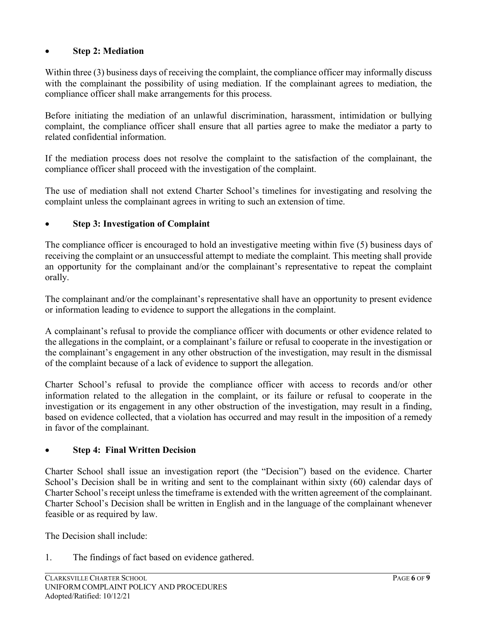## • **Step 2: Mediation**

Within three (3) business days of receiving the complaint, the compliance officer may informally discuss with the complainant the possibility of using mediation. If the complainant agrees to mediation, the compliance officer shall make arrangements for this process.

Before initiating the mediation of an unlawful discrimination, harassment, intimidation or bullying complaint, the compliance officer shall ensure that all parties agree to make the mediator a party to related confidential information.

If the mediation process does not resolve the complaint to the satisfaction of the complainant, the compliance officer shall proceed with the investigation of the complaint.

The use of mediation shall not extend Charter School's timelines for investigating and resolving the complaint unless the complainant agrees in writing to such an extension of time.

## • **Step 3: Investigation of Complaint**

The compliance officer is encouraged to hold an investigative meeting within five (5) business days of receiving the complaint or an unsuccessful attempt to mediate the complaint. This meeting shall provide an opportunity for the complainant and/or the complainant's representative to repeat the complaint orally.

The complainant and/or the complainant's representative shall have an opportunity to present evidence or information leading to evidence to support the allegations in the complaint.

A complainant's refusal to provide the compliance officer with documents or other evidence related to the allegations in the complaint, or a complainant's failure or refusal to cooperate in the investigation or the complainant's engagement in any other obstruction of the investigation, may result in the dismissal of the complaint because of a lack of evidence to support the allegation.

Charter School's refusal to provide the compliance officer with access to records and/or other information related to the allegation in the complaint, or its failure or refusal to cooperate in the investigation or its engagement in any other obstruction of the investigation, may result in a finding, based on evidence collected, that a violation has occurred and may result in the imposition of a remedy in favor of the complainant.

#### • **Step 4: Final Written Decision**

Charter School shall issue an investigation report (the "Decision") based on the evidence. Charter School's Decision shall be in writing and sent to the complainant within sixty (60) calendar days of Charter School's receipt unless the timeframe is extended with the written agreement of the complainant. Charter School's Decision shall be written in English and in the language of the complainant whenever feasible or as required by law.

The Decision shall include:

1. The findings of fact based on evidence gathered.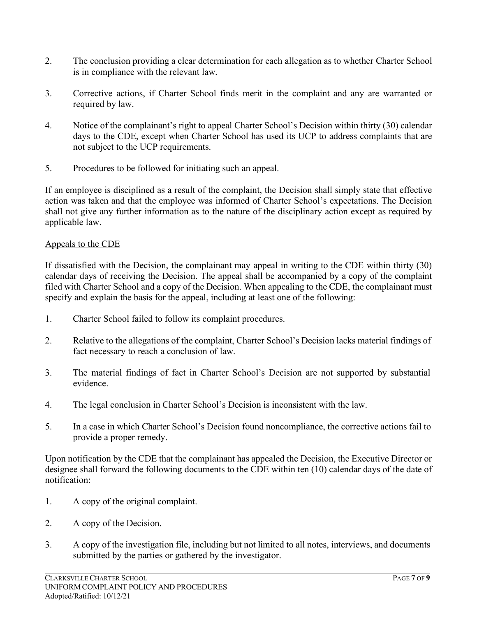- 2. The conclusion providing a clear determination for each allegation as to whether Charter School is in compliance with the relevant law.
- 3. Corrective actions, if Charter School finds merit in the complaint and any are warranted or required by law.
- 4. Notice of the complainant's right to appeal Charter School's Decision within thirty (30) calendar days to the CDE, except when Charter School has used its UCP to address complaints that are not subject to the UCP requirements.
- 5. Procedures to be followed for initiating such an appeal.

If an employee is disciplined as a result of the complaint, the Decision shall simply state that effective action was taken and that the employee was informed of Charter School's expectations. The Decision shall not give any further information as to the nature of the disciplinary action except as required by applicable law.

## Appeals to the CDE

If dissatisfied with the Decision, the complainant may appeal in writing to the CDE within thirty (30) calendar days of receiving the Decision. The appeal shall be accompanied by a copy of the complaint filed with Charter School and a copy of the Decision. When appealing to the CDE, the complainant must specify and explain the basis for the appeal, including at least one of the following:

- 1. Charter School failed to follow its complaint procedures.
- 2. Relative to the allegations of the complaint, Charter School's Decision lacks material findings of fact necessary to reach a conclusion of law.
- 3. The material findings of fact in Charter School's Decision are not supported by substantial evidence.
- 4. The legal conclusion in Charter School's Decision is inconsistent with the law.
- 5. In a case in which Charter School's Decision found noncompliance, the corrective actions fail to provide a proper remedy.

Upon notification by the CDE that the complainant has appealed the Decision, the Executive Director or designee shall forward the following documents to the CDE within ten (10) calendar days of the date of notification:

- 1. A copy of the original complaint.
- 2. A copy of the Decision.
- 3. A copy of the investigation file, including but not limited to all notes, interviews, and documents submitted by the parties or gathered by the investigator.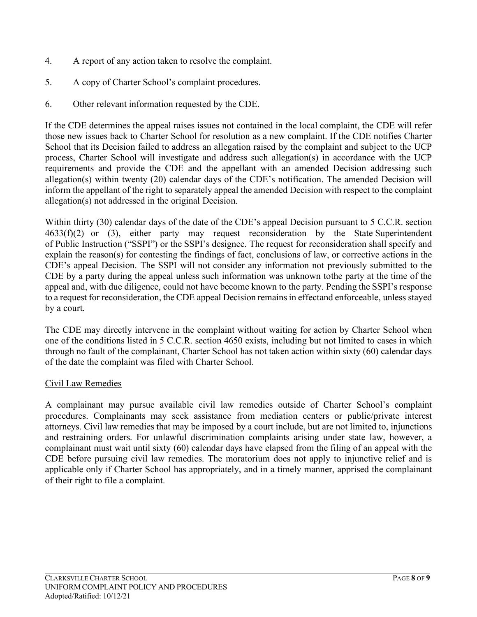- 4. A report of any action taken to resolve the complaint.
- 5. A copy of Charter School's complaint procedures.
- 6. Other relevant information requested by the CDE.

If the CDE determines the appeal raises issues not contained in the local complaint, the CDE will refer those new issues back to Charter School for resolution as a new complaint. If the CDE notifies Charter School that its Decision failed to address an allegation raised by the complaint and subject to the UCP process, Charter School will investigate and address such allegation(s) in accordance with the UCP requirements and provide the CDE and the appellant with an amended Decision addressing such allegation(s) within twenty (20) calendar days of the CDE's notification. The amended Decision will inform the appellant of the right to separately appeal the amended Decision with respect to the complaint allegation(s) not addressed in the original Decision.

Within thirty (30) calendar days of the date of the CDE's appeal Decision pursuant to 5 C.C.R. section 4633(f)(2) or (3), either party may request reconsideration by the State Superintendent of Public Instruction ("SSPI") or the SSPI's designee. The request for reconsideration shall specify and explain the reason(s) for contesting the findings of fact, conclusions of law, or corrective actions in the CDE's appeal Decision. The SSPI will not consider any information not previously submitted to the CDE by a party during the appeal unless such information was unknown tothe party at the time of the appeal and, with due diligence, could not have become known to the party. Pending the SSPI's response to a request for reconsideration, the CDE appeal Decision remains in effectand enforceable, unless stayed by a court.

The CDE may directly intervene in the complaint without waiting for action by Charter School when one of the conditions listed in 5 C.C.R. section 4650 exists, including but not limited to cases in which through no fault of the complainant, Charter School has not taken action within sixty (60) calendar days of the date the complaint was filed with Charter School.

#### Civil Law Remedies

A complainant may pursue available civil law remedies outside of Charter School's complaint procedures. Complainants may seek assistance from mediation centers or public/private interest attorneys. Civil law remedies that may be imposed by a court include, but are not limited to, injunctions and restraining orders. For unlawful discrimination complaints arising under state law, however, a complainant must wait until sixty (60) calendar days have elapsed from the filing of an appeal with the CDE before pursuing civil law remedies. The moratorium does not apply to injunctive relief and is applicable only if Charter School has appropriately, and in a timely manner, apprised the complainant of their right to file a complaint.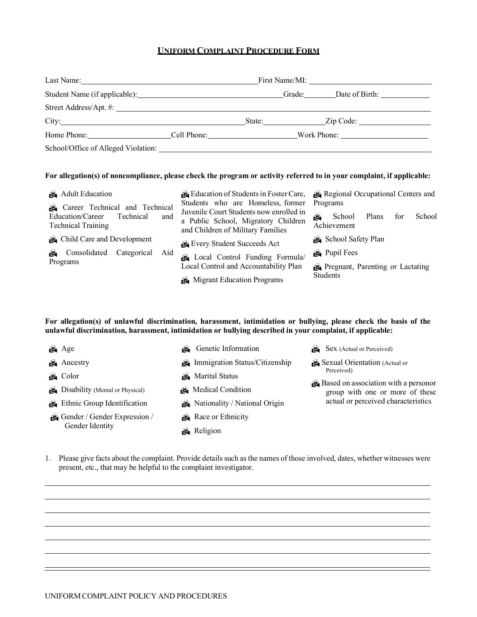#### **UNIFORM COMPLAINT PROCEDURE FORM**

| Last Name:<br><u> 1980 - Jan Sterling von Berling von Berling von Berling von Berling von Berling von Berling von Berling von B</u> | First Name/MI: | <u> 1980 - Jan Stein Harry Harry Harry Harry Harry Harry Harry Harry Harry Harry Harry Harry Harry Harry Harry</u> |        |             |  |
|-------------------------------------------------------------------------------------------------------------------------------------|----------------|--------------------------------------------------------------------------------------------------------------------|--------|-------------|--|
|                                                                                                                                     |                |                                                                                                                    | Grade: |             |  |
|                                                                                                                                     |                |                                                                                                                    |        |             |  |
| City:                                                                                                                               |                |                                                                                                                    | State: | Zip Code:   |  |
| Home Phone:                                                                                                                         | Cell Phone:    |                                                                                                                    |        | Work Phone: |  |
| School/Office of Alleged Violation:                                                                                                 |                |                                                                                                                    |        |             |  |

#### For allegation(s) of noncompliance, please check the program or activity referred to in your complaint, if applicable:

| Adult Education                                                                                     | Education of Students in Foster Care,                                                                                                                    | Regional Occupational Centers and                                  |  |  |
|-----------------------------------------------------------------------------------------------------|----------------------------------------------------------------------------------------------------------------------------------------------------------|--------------------------------------------------------------------|--|--|
| Career Technical and Technical<br>Education/Career<br>Technical<br>and<br><b>Technical Training</b> | Students who are Homeless, former<br>Juvenile Court Students now enrolled in<br>a Public School, Migratory Children<br>and Children of Military Families | Programs<br>Plans<br>School<br>School<br>for<br>ÂÒ.<br>Achievement |  |  |
| Child Care and Development                                                                          | Every Student Succeeds Act                                                                                                                               | School Safety Plan                                                 |  |  |
| Consolidated<br>Categorical<br>Aid<br>ŃС.                                                           | Local Control Funding Formula/                                                                                                                           | Pupil Fees                                                         |  |  |
| Programs<br>Local Control and Accountability Plan                                                   |                                                                                                                                                          | Pregnant, Parenting or Lactating                                   |  |  |
|                                                                                                     | Migrant Education Programs                                                                                                                               | <b>Students</b>                                                    |  |  |

**For allegation(s) of unlawful discrimination, harassment, intimidation or bullying, please check the basis of the unlawful discrimination, harassment, intimidation or bullying described in your complaint, if applicable:**

| Age                                      | Genetic Information            | $\mathbb{R}$ Sex (Actual or Perceived)                                  |
|------------------------------------------|--------------------------------|-------------------------------------------------------------------------|
| Ancestry                                 | Immigration Status/Citizenship | Sexual Orientation (Actual or                                           |
| <b>&amp;</b> Color                       | <b>Marital Status</b>          | Perceived)                                                              |
| <b>B</b> Disability (Mental or Physical) | Medical Condition              | Based on association with a personor<br>group with one or more of these |
| <b>Ethnic Group Identification</b>       | Nationality / National Origin  | actual or perceived characteristics                                     |
| Gender / Gender Expression /             | Race or Ethnicity              |                                                                         |
| Gender Identity                          | <b>&amp;</b> Religion          |                                                                         |

1. Please give facts about the complaint. Provide details such asthe names of those involved, dates, whether witnesses were present, etc., that may be helpful to the complaint investigator.